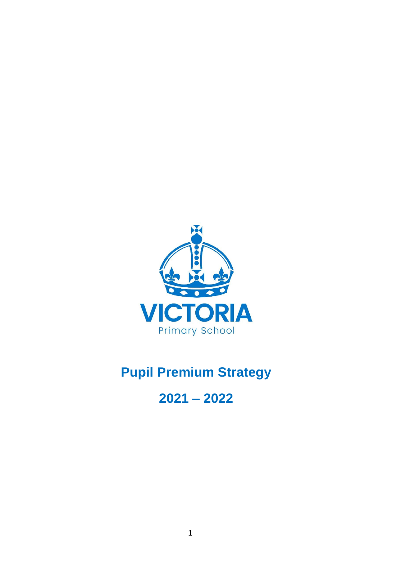

# **Pupil Premium Strategy**

# **2021 – 2022**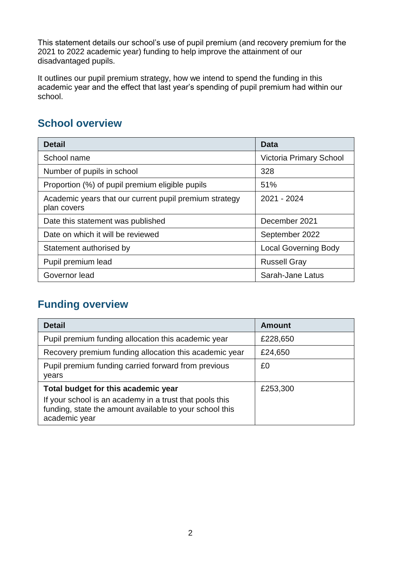This statement details our school's use of pupil premium (and recovery premium for the 2021 to 2022 academic year) funding to help improve the attainment of our disadvantaged pupils.

It outlines our pupil premium strategy, how we intend to spend the funding in this academic year and the effect that last year's spending of pupil premium had within our school.

#### **School overview**

| <b>Detail</b>                                                         | Data                        |
|-----------------------------------------------------------------------|-----------------------------|
| School name                                                           | Victoria Primary School     |
| Number of pupils in school                                            | 328                         |
| Proportion (%) of pupil premium eligible pupils                       | 51%                         |
| Academic years that our current pupil premium strategy<br>plan covers | 2021 - 2024                 |
| Date this statement was published                                     | December 2021               |
| Date on which it will be reviewed                                     | September 2022              |
| Statement authorised by                                               | <b>Local Governing Body</b> |
| Pupil premium lead                                                    | <b>Russell Gray</b>         |
| Governor lead                                                         | Sarah-Jane Latus            |

#### **Funding overview**

| <b>Detail</b>                                                                                                                                                              | <b>Amount</b> |
|----------------------------------------------------------------------------------------------------------------------------------------------------------------------------|---------------|
| Pupil premium funding allocation this academic year                                                                                                                        | £228,650      |
| Recovery premium funding allocation this academic year                                                                                                                     | £24,650       |
| Pupil premium funding carried forward from previous<br>years                                                                                                               | £0            |
| Total budget for this academic year<br>If your school is an academy in a trust that pools this<br>funding, state the amount available to your school this<br>academic year | £253,300      |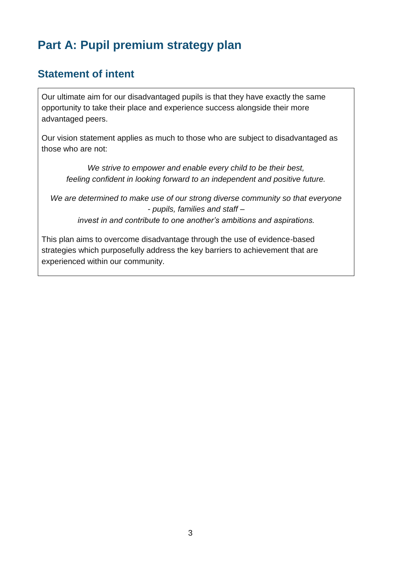# **Part A: Pupil premium strategy plan**

#### **Statement of intent**

Our ultimate aim for our disadvantaged pupils is that they have exactly the same opportunity to take their place and experience success alongside their more advantaged peers.

Our vision statement applies as much to those who are subject to disadvantaged as those who are not:

*We strive to empower and enable every child to be their best, feeling confident in looking forward to an independent and positive future.*

*We are determined to make use of our strong diverse community so that everyone - pupils, families and staff – invest in and contribute to one another's ambitions and aspirations.*

This plan aims to overcome disadvantage through the use of evidence-based strategies which purposefully address the key barriers to achievement that are experienced within our community.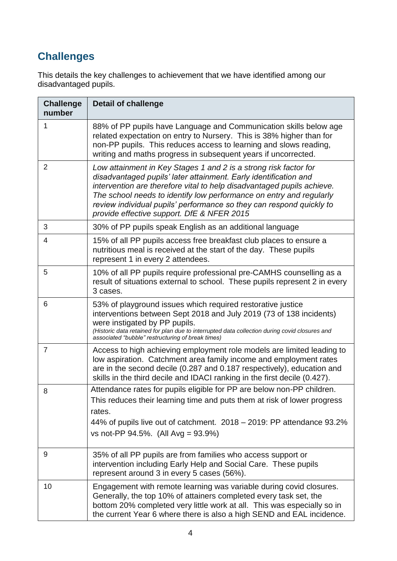## **Challenges**

This details the key challenges to achievement that we have identified among our disadvantaged pupils.

| <b>Challenge</b><br>number | <b>Detail of challenge</b>                                                                                                                                                                                                                                                                                                                                                                                  |
|----------------------------|-------------------------------------------------------------------------------------------------------------------------------------------------------------------------------------------------------------------------------------------------------------------------------------------------------------------------------------------------------------------------------------------------------------|
| 1                          | 88% of PP pupils have Language and Communication skills below age<br>related expectation on entry to Nursery. This is 38% higher than for<br>non-PP pupils. This reduces access to learning and slows reading,<br>writing and maths progress in subsequent years if uncorrected.                                                                                                                            |
| 2                          | Low attainment in Key Stages 1 and 2 is a strong risk factor for<br>disadvantaged pupils' later attainment. Early identification and<br>intervention are therefore vital to help disadvantaged pupils achieve.<br>The school needs to identify low performance on entry and regularly<br>review individual pupils' performance so they can respond quickly to<br>provide effective support. DfE & NFER 2015 |
| 3                          | 30% of PP pupils speak English as an additional language                                                                                                                                                                                                                                                                                                                                                    |
| 4                          | 15% of all PP pupils access free breakfast club places to ensure a<br>nutritious meal is received at the start of the day. These pupils<br>represent 1 in every 2 attendees.                                                                                                                                                                                                                                |
| 5                          | 10% of all PP pupils require professional pre-CAMHS counselling as a<br>result of situations external to school. These pupils represent 2 in every<br>3 cases.                                                                                                                                                                                                                                              |
| 6                          | 53% of playground issues which required restorative justice<br>interventions between Sept 2018 and July 2019 (73 of 138 incidents)<br>were instigated by PP pupils.<br>(Historic data retained for plan due to interrupted data collection during covid closures and<br>associated "bubble" restructuring of break times)                                                                                   |
| $\overline{7}$             | Access to high achieving employment role models are limited leading to<br>low aspiration. Catchment area family income and employment rates<br>are in the second decile (0.287 and 0.187 respectively), education and<br>skills in the third decile and IDACI ranking in the first decile (0.427).                                                                                                          |
| 8                          | Attendance rates for pupils eligible for PP are below non-PP children.<br>This reduces their learning time and puts them at risk of lower progress<br>rates.<br>44% of pupils live out of catchment. 2018 – 2019: PP attendance 93.2%<br>vs not-PP $94.5\%$ . (All Avg = $93.9\%$ )                                                                                                                         |
| 9                          | 35% of all PP pupils are from families who access support or<br>intervention including Early Help and Social Care. These pupils<br>represent around 3 in every 5 cases (56%).                                                                                                                                                                                                                               |
| 10                         | Engagement with remote learning was variable during covid closures.<br>Generally, the top 10% of attainers completed every task set, the<br>bottom 20% completed very little work at all. This was especially so in<br>the current Year 6 where there is also a high SEND and EAL incidence.                                                                                                                |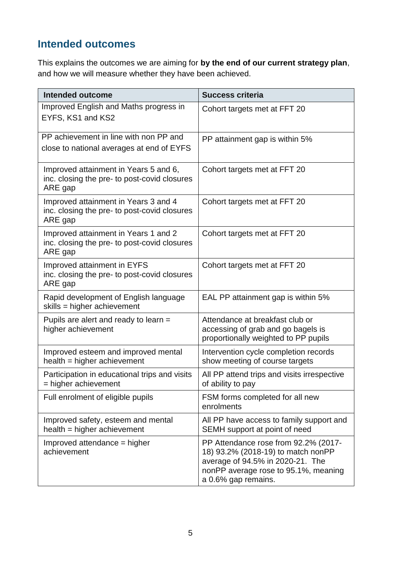### **Intended outcomes**

This explains the outcomes we are aiming for **by the end of our current strategy plan**, and how we will measure whether they have been achieved.

| <b>Intended outcome</b>                                                                          | <b>Success criteria</b>                                                                                                                                                       |
|--------------------------------------------------------------------------------------------------|-------------------------------------------------------------------------------------------------------------------------------------------------------------------------------|
| Improved English and Maths progress in<br>EYFS, KS1 and KS2                                      | Cohort targets met at FFT 20                                                                                                                                                  |
| PP achievement in line with non PP and<br>close to national averages at end of EYFS              | PP attainment gap is within 5%                                                                                                                                                |
| Improved attainment in Years 5 and 6,<br>inc. closing the pre- to post-covid closures<br>ARE gap | Cohort targets met at FFT 20                                                                                                                                                  |
| Improved attainment in Years 3 and 4<br>inc. closing the pre- to post-covid closures<br>ARE gap  | Cohort targets met at FFT 20                                                                                                                                                  |
| Improved attainment in Years 1 and 2<br>inc. closing the pre- to post-covid closures<br>ARE gap  | Cohort targets met at FFT 20                                                                                                                                                  |
| Improved attainment in EYFS<br>inc. closing the pre- to post-covid closures<br>ARE gap           | Cohort targets met at FFT 20                                                                                                                                                  |
| Rapid development of English language<br>skills = higher achievement                             | EAL PP attainment gap is within 5%                                                                                                                                            |
| Pupils are alert and ready to learn =<br>higher achievement                                      | Attendance at breakfast club or<br>accessing of grab and go bagels is<br>proportionally weighted to PP pupils                                                                 |
| Improved esteem and improved mental<br>$health = higher achievement$                             | Intervention cycle completion records<br>show meeting of course targets                                                                                                       |
| Participation in educational trips and visits<br>= higher achievement                            | All PP attend trips and visits irrespective<br>of ability to pay                                                                                                              |
| Full enrolment of eligible pupils                                                                | FSM forms completed for all new<br>enrolments                                                                                                                                 |
| Improved safety, esteem and mental<br>$health = higher achievement$                              | All PP have access to family support and<br>SEMH support at point of need                                                                                                     |
| Improved attendance = higher<br>achievement                                                      | PP Attendance rose from 92.2% (2017-<br>18) 93.2% (2018-19) to match nonPP<br>average of 94.5% in 2020-21. The<br>nonPP average rose to 95.1%, meaning<br>a 0.6% gap remains. |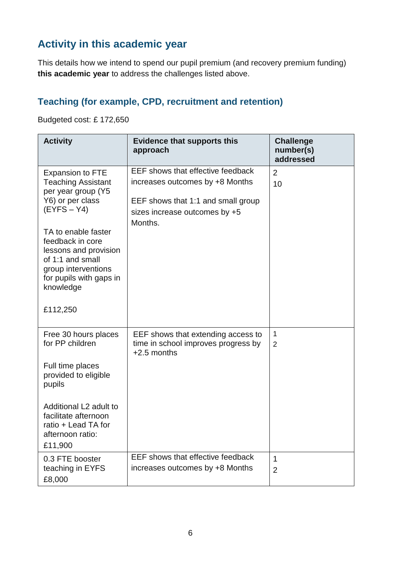### **Activity in this academic year**

This details how we intend to spend our pupil premium (and recovery premium funding) **this academic year** to address the challenges listed above.

#### **Teaching (for example, CPD, recruitment and retention)**

Budgeted cost: £ 172,650

| <b>Activity</b>                                                                                                                                                                                                                                                        | <b>Evidence that supports this</b><br>approach                                                                                                         | <b>Challenge</b><br>number(s)<br>addressed |
|------------------------------------------------------------------------------------------------------------------------------------------------------------------------------------------------------------------------------------------------------------------------|--------------------------------------------------------------------------------------------------------------------------------------------------------|--------------------------------------------|
| <b>Expansion to FTE</b><br><b>Teaching Assistant</b><br>per year group (Y5<br>Y6) or per class<br>$(EYFS - Y4)$<br>TA to enable faster<br>feedback in core<br>lessons and provision<br>of 1:1 and small<br>group interventions<br>for pupils with gaps in<br>knowledge | EEF shows that effective feedback<br>increases outcomes by +8 Months<br>EEF shows that 1:1 and small group<br>sizes increase outcomes by +5<br>Months. | $\overline{2}$<br>10                       |
| £112,250                                                                                                                                                                                                                                                               |                                                                                                                                                        |                                            |
| Free 30 hours places<br>for PP children<br>Full time places<br>provided to eligible<br>pupils                                                                                                                                                                          | EEF shows that extending access to<br>time in school improves progress by<br>$+2.5$ months                                                             | 1<br>$\overline{2}$                        |
| Additional L2 adult to<br>facilitate afternoon<br>ratio + Lead TA for<br>afternoon ratio:<br>£11,900                                                                                                                                                                   |                                                                                                                                                        |                                            |
| 0.3 FTE booster<br>teaching in EYFS<br>£8,000                                                                                                                                                                                                                          | EEF shows that effective feedback<br>increases outcomes by +8 Months                                                                                   | $\mathbf 1$<br>$\overline{2}$              |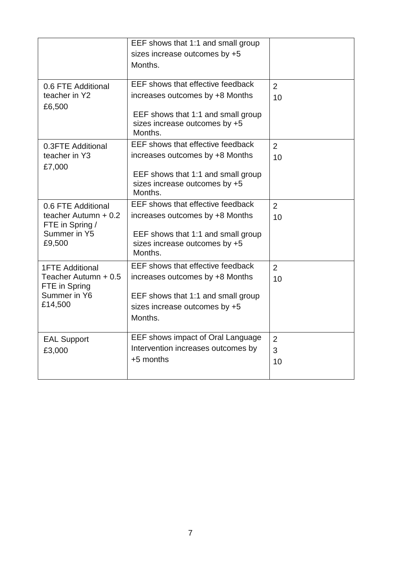|                               | EEF shows that 1:1 and small group       |                |
|-------------------------------|------------------------------------------|----------------|
|                               | sizes increase outcomes by +5            |                |
|                               | Months.                                  |                |
|                               |                                          |                |
| 0.6 FTE Additional            | EEF shows that effective feedback        | $\overline{2}$ |
| teacher in Y2                 | increases outcomes by +8 Months          | 10             |
| £6,500                        |                                          |                |
|                               | EEF shows that 1:1 and small group       |                |
|                               | sizes increase outcomes by +5<br>Months. |                |
|                               | EEF shows that effective feedback        |                |
| 0.3FTE Additional             |                                          | 2              |
| teacher in Y3                 | increases outcomes by +8 Months          | 10             |
| £7,000                        | EEF shows that 1:1 and small group       |                |
|                               | sizes increase outcomes by +5            |                |
|                               | Months.                                  |                |
| 0.6 FTE Additional            | EEF shows that effective feedback        | $\overline{2}$ |
| teacher Autumn + 0.2          | increases outcomes by +8 Months          | 10             |
| FTE in Spring /               |                                          |                |
| Summer in Y5                  | EEF shows that 1:1 and small group       |                |
| £9,500                        | sizes increase outcomes by +5<br>Months. |                |
|                               |                                          |                |
| <b>1FTE Additional</b>        | EEF shows that effective feedback        | $\overline{2}$ |
| Teacher Autumn + 0.5          | increases outcomes by +8 Months          | 10             |
| FTE in Spring<br>Summer in Y6 |                                          |                |
| £14,500                       | EEF shows that 1:1 and small group       |                |
|                               | sizes increase outcomes by +5            |                |
|                               | Months.                                  |                |
|                               | EEF shows impact of Oral Language        | $\overline{2}$ |
| <b>EAL Support</b>            | Intervention increases outcomes by       | 3              |
| £3,000                        | +5 months                                |                |
|                               |                                          | 10             |
|                               |                                          |                |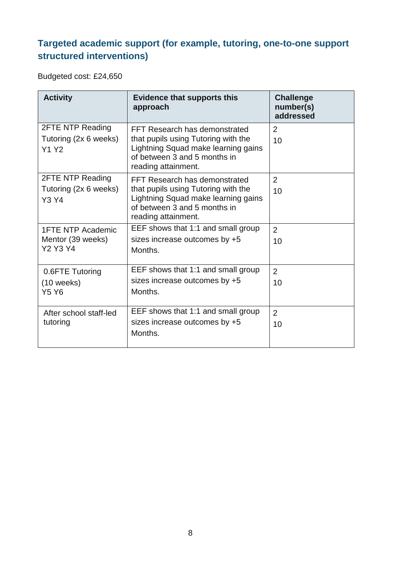#### **Targeted academic support (for example, tutoring, one-to-one support structured interventions)**

Budgeted cost: £24,650

| <b>Activity</b>                                                  | <b>Evidence that supports this</b><br>approach                                                                                                                     | <b>Challenge</b><br>number(s)<br>addressed |
|------------------------------------------------------------------|--------------------------------------------------------------------------------------------------------------------------------------------------------------------|--------------------------------------------|
| <b>2FTE NTP Reading</b><br>Tutoring (2x 6 weeks)<br><b>Y1 Y2</b> | FFT Research has demonstrated<br>that pupils using Tutoring with the<br>Lightning Squad make learning gains<br>of between 3 and 5 months in<br>reading attainment. | 2<br>10                                    |
| <b>2FTE NTP Reading</b><br>Tutoring (2x 6 weeks)<br><b>Y3 Y4</b> | FFT Research has demonstrated<br>that pupils using Tutoring with the<br>Lightning Squad make learning gains<br>of between 3 and 5 months in<br>reading attainment. | 2<br>10                                    |
| <b>1FTE NTP Academic</b><br>Mentor (39 weeks)<br><b>Y2 Y3 Y4</b> | EEF shows that 1:1 and small group<br>sizes increase outcomes by +5<br>Months.                                                                                     | $\overline{2}$<br>10                       |
| 0.6FTE Tutoring<br>$(10$ weeks)<br><b>Y5 Y6</b>                  | EEF shows that 1:1 and small group<br>sizes increase outcomes by +5<br>Months.                                                                                     | $\overline{2}$<br>10                       |
| After school staff-led<br>tutoring                               | EEF shows that 1:1 and small group<br>sizes increase outcomes by +5<br>Months.                                                                                     | 2<br>10                                    |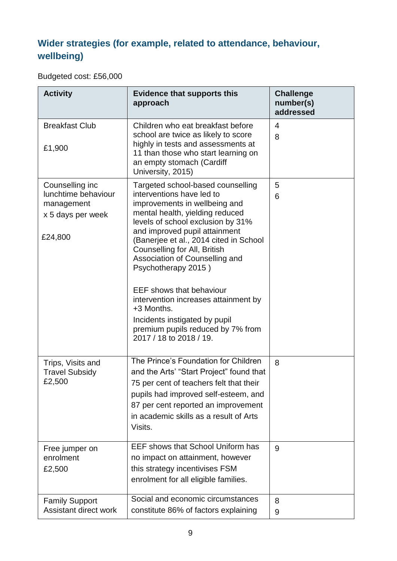#### **Wider strategies (for example, related to attendance, behaviour, wellbeing)**

Budgeted cost: £56,000

| <b>Activity</b>                                                                       | <b>Evidence that supports this</b><br>approach                                                                                                                                                                                                                                                                                                                                                                                                                                                                                        | <b>Challenge</b><br>number(s)<br>addressed |
|---------------------------------------------------------------------------------------|---------------------------------------------------------------------------------------------------------------------------------------------------------------------------------------------------------------------------------------------------------------------------------------------------------------------------------------------------------------------------------------------------------------------------------------------------------------------------------------------------------------------------------------|--------------------------------------------|
| <b>Breakfast Club</b><br>£1,900                                                       | Children who eat breakfast before<br>school are twice as likely to score<br>highly in tests and assessments at<br>11 than those who start learning on<br>an empty stomach (Cardiff<br>University, 2015)                                                                                                                                                                                                                                                                                                                               | $\overline{4}$<br>8                        |
| Counselling inc.<br>lunchtime behaviour<br>management<br>x 5 days per week<br>£24,800 | Targeted school-based counselling<br>interventions have led to<br>improvements in wellbeing and<br>mental health, yielding reduced<br>levels of school exclusion by 31%<br>and improved pupil attainment<br>(Banerjee et al., 2014 cited in School<br>Counselling for All, British<br>Association of Counselling and<br>Psychotherapy 2015)<br><b>EEF</b> shows that behaviour<br>intervention increases attainment by<br>+3 Months.<br>Incidents instigated by pupil<br>premium pupils reduced by 7% from<br>2017 / 18 to 2018 / 19. | 5<br>6                                     |
| Trips, Visits and<br><b>Travel Subsidy</b><br>£2,500                                  | The Prince's Foundation for Children<br>and the Arts' "Start Project" found that<br>75 per cent of teachers felt that their<br>pupils had improved self-esteem, and<br>87 per cent reported an improvement<br>in academic skills as a result of Arts<br>Visits.                                                                                                                                                                                                                                                                       | 8                                          |
| Free jumper on<br>enrolment<br>£2,500                                                 | <b>EEF shows that School Uniform has</b><br>no impact on attainment, however<br>this strategy incentivises FSM<br>enrolment for all eligible families.                                                                                                                                                                                                                                                                                                                                                                                | 9                                          |
| <b>Family Support</b><br>Assistant direct work                                        | Social and economic circumstances<br>constitute 86% of factors explaining                                                                                                                                                                                                                                                                                                                                                                                                                                                             | 8<br>9                                     |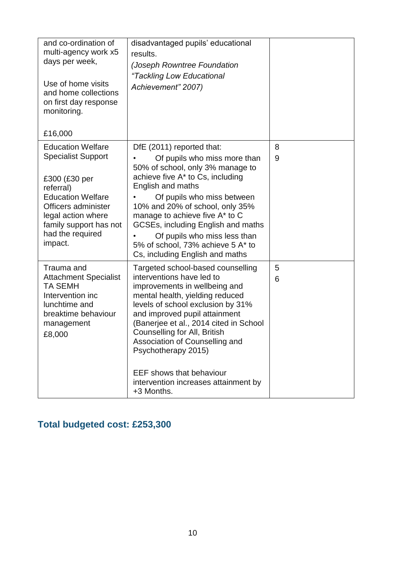| and co-ordination of<br>multi-agency work x5<br>days per week,<br>Use of home visits<br>and home collections<br>on first day response<br>monitoring.<br>£16,000                                                       | disadvantaged pupils' educational<br>results.<br>(Joseph Rowntree Foundation<br>"Tackling Low Educational<br>Achievement" 2007)                                                                                                                                                                                                                                                                                                      |        |
|-----------------------------------------------------------------------------------------------------------------------------------------------------------------------------------------------------------------------|--------------------------------------------------------------------------------------------------------------------------------------------------------------------------------------------------------------------------------------------------------------------------------------------------------------------------------------------------------------------------------------------------------------------------------------|--------|
| <b>Education Welfare</b><br><b>Specialist Support</b><br>£300 (£30 per<br>referral)<br><b>Education Welfare</b><br>Officers administer<br>legal action where<br>family support has not<br>had the required<br>impact. | DfE (2011) reported that:<br>Of pupils who miss more than<br>50% of school, only 3% manage to<br>achieve five A* to Cs, including<br>English and maths<br>Of pupils who miss between<br>10% and 20% of school, only 35%<br>manage to achieve five A* to C<br>GCSEs, including English and maths<br>Of pupils who miss less than<br>5% of school, 73% achieve 5 A* to<br>Cs, including English and maths                              | 8<br>9 |
| Trauma and<br><b>Attachment Specialist</b><br><b>TA SEMH</b><br>Intervention inc<br>lunchtime and<br>breaktime behaviour<br>management<br>£8,000                                                                      | Targeted school-based counselling<br>interventions have led to<br>improvements in wellbeing and<br>mental health, yielding reduced<br>levels of school exclusion by 31%<br>and improved pupil attainment<br>(Banerjee et al., 2014 cited in School<br>Counselling for All, British<br>Association of Counselling and<br>Psychotherapy 2015)<br><b>EEF</b> shows that behaviour<br>intervention increases attainment by<br>+3 Months. | 5<br>6 |

### **Total budgeted cost: £253,300**